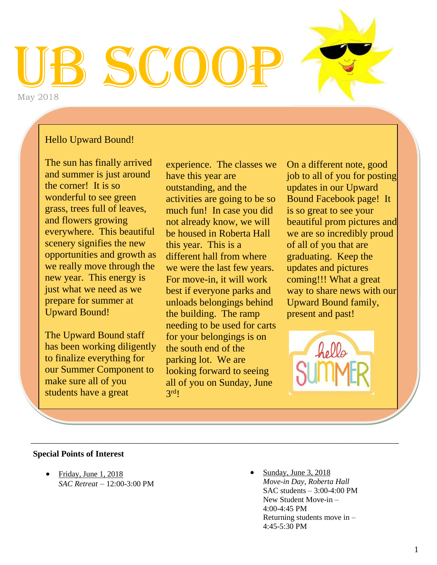# UB SCOOP May 2018

### Hello Upward Bound!

The sun has finally arrived and summer is just around the corner! It is so wonderful to see green grass, trees full of leaves, and flowers growing everywhere. This beautiful scenery signifies the new opportunities and growth as we really move through the new year. This energy is just what we need as we prepare for summer at Upward Bound!

The Upward Bound staff has been working diligently to finalize everything for our Summer Component to make sure all of you students have a great

experience. The classes we have this year are outstanding, and the activities are going to be so much fun! In case you did not already know, we will be housed in Roberta Hall this year. This is a different hall from where we were the last few years. For move-in, it will work best if everyone parks and unloads belongings behind the building. The ramp needing to be used for carts for your belongings is on the south end of the parking lot. We are looking forward to seeing all of you on Sunday, June  $3<sup>rd</sup>!$ 

\_\_\_\_\_\_\_\_\_\_\_\_\_\_\_\_\_\_\_\_\_\_\_\_\_\_\_\_\_\_\_\_\_\_\_\_\_\_\_\_\_\_\_\_\_\_\_\_\_\_\_\_\_\_\_\_\_\_\_\_\_\_\_\_\_\_\_\_\_\_\_\_\_\_\_\_\_\_\_\_\_\_\_\_\_\_

On a different note, good job to all of you for posting updates in our Upward Bound Facebook page! It is so great to see your beautiful prom pictures and we are so incredibly proud of all of you that are graduating. Keep the updates and pictures coming!!! What a great way to share news with our Upward Bound family, present and past!



### **Special Points of Interest**

 Friday, June 1, 2018 *SAC Retreat* – 12:00-3:00 PM  Sunday, June 3, 2018 *Move-in Day, Roberta Hall* SAC students – 3:00-4:00 PM New Student Move-in – 4:00-4:45 PM Returning students move in – 4:45-5:30 PM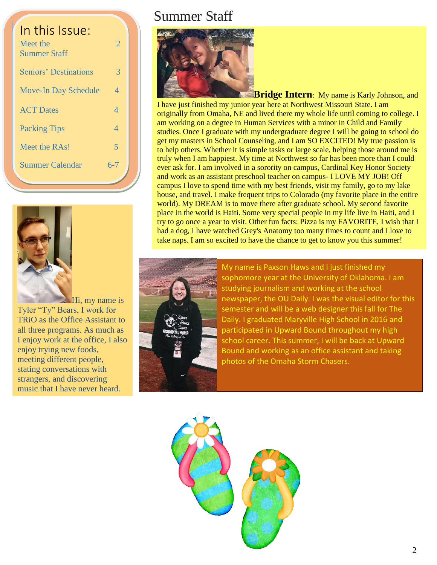| In this Issue:<br>Meet the<br><b>Summer Staff</b> | $\overline{2}$ |  |
|---------------------------------------------------|----------------|--|
| <b>Seniors' Destinations</b>                      | 3              |  |
| <b>Move-In Day Schedule</b>                       | 4              |  |
| <b>ACT</b> Dates                                  | 4              |  |
| <b>Packing Tips</b>                               | 4              |  |
| Meet the RAs!                                     | 5              |  |
| <b>Summer Calendar</b>                            | 6-7            |  |
|                                                   |                |  |



**Hi**, my name is Tyler "Ty" Bears, I work for TRiO as the Office Assistant to all three programs. As much as I enjoy work at the office, I also enjoy trying new foods, meeting different people, stating conversations with strangers, and discovering music that I have never heard.

## Summer Staff



**Bridge Intern**: My name is Karly Johnson, and I have just finished my junior year here at Northwest Missouri State. I am originally from Omaha, NE and lived there my whole life until coming to college. I am working on a degree in Human Services with a minor in Child and Family studies. Once I graduate with my undergraduate degree I will be going to school do get my masters in School Counseling, and I am SO EXCITED! My true passion is to help others. Whether it is simple tasks or large scale, helping those around me is truly when I am happiest. My time at Northwest so far has been more than I could ever ask for. I am involved in a sorority on campus, Cardinal Key Honor Society and work as an assistant preschool teacher on campus- I LOVE MY JOB! Off campus I love to spend time with my best friends, visit my family, go to my lake house, and travel. I make frequent trips to Colorado (my favorite place in the entire world). My DREAM is to move there after graduate school. My second favorite place in the world is Haiti. Some very special people in my life live in Haiti, and I try to go once a year to visit. Other fun facts: Pizza is my FAVORITE, I wish that I had a dog, I have watched Grey's Anatomy too many times to count and I love to take naps. I am so excited to have the chance to get to know you this summer!



My name is Paxson Haws and I just finished my sophomore year at the University of Oklahoma. I am studying journalism and working at the school newspaper, the OU Daily. I was the visual editor for this semester and will be a web designer this fall for The Daily. I graduated Maryville High School in 2016 and participated in Upward Bound throughout my high school career. This summer, I will be back at Upward Bound and working as an office assistant and taking photos of the Omaha Storm Chasers.

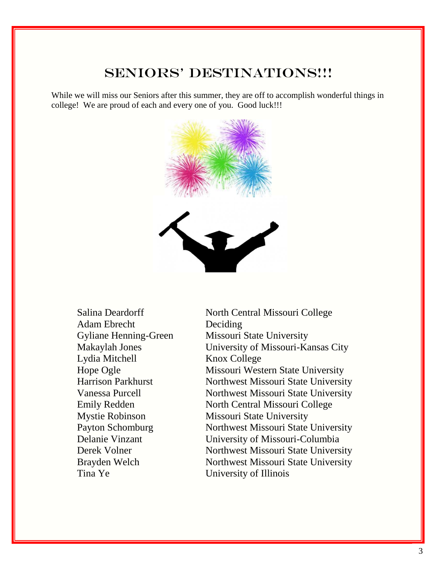## SENIORS' DESTINATIONS!!!

While we will miss our Seniors after this summer, they are off to accomplish wonderful things in college! We are proud of each and every one of you. Good luck!!!



- Adam Ebrecht Deciding Lydia Mitchell Knox College
- Salina Deardorff North Central Missouri College Gyliane Henning-Green Missouri State University Makaylah Jones University of Missouri-Kansas City Hope Ogle Missouri Western State University Harrison Parkhurst Northwest Missouri State University Vanessa Purcell Northwest Missouri State University Emily Redden North Central Missouri College Mystie Robinson Missouri State University Payton Schomburg Northwest Missouri State University Delanie Vinzant University of Missouri-Columbia Derek Volner Northwest Missouri State University Brayden Welch Northwest Missouri State University Tina Ye University of Illinois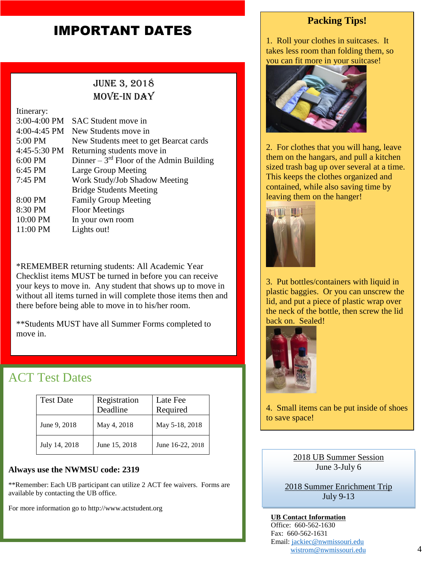## **IMPORTANT DATES**

## June 3, 2018 MOVE-IN DAY

Itinerary: 3:00-4:00 PM SAC Student move in 4:00-4:45 PM New Students move in 5:00 PM New Students meet to get Bearcat cards 4:45-5:30 PM Returning students move in 6:00 PM Dinner  $-3<sup>rd</sup>$  Floor of the Admin Building 6:45 PM Large Group Meeting 7:45 PM Work Study/Job Shadow Meeting Bridge Students Meeting 8:00 PM Family Group Meeting 8:30 PM Floor Meetings 10:00 PM In your own room 11:00 PM Lights out!

\*REMEMBER returning students: All Academic Year Checklist items MUST be turned in before you can receive your keys to move in. Any student that shows up to move in without all items turned in will complete those items then and there before being able to move in to his/her room.

\*\*Students MUST have all Summer Forms completed to move in.

## ACT Test Dates

| <b>Test Date</b> | Registration<br>Deadline | Late Fee<br>Required |
|------------------|--------------------------|----------------------|
| June 9, 2018     | May 4, 2018              | May 5-18, 2018       |
| July 14, 2018    | June 15, 2018            | June 16-22, 2018     |

### **Always use the NWMSU code: 2319**

\*\*Remember: Each UB participant can utilize 2 ACT fee waivers. Forms are available by contacting the UB office.

For more information go to http://www.actstudent.org

### **Packing Tips!**

1. Roll your clothes in suitcases. It takes less room than folding them, so you can fit more in your suitcase!



2. For clothes that you will hang, leave them on the hangars, and pull a kitchen sized trash bag up over several at a time. This keeps the clothes organized and contained, while also saving time by leaving them on the hanger!



3. Put bottles/containers with liquid in plastic baggies. Or you can unscrew the lid, and put a piece of plastic wrap over the neck of the bottle, then screw the lid back on. Sealed!



4. Small items can be put inside of shoes to save space!

> 2018 UB Summer Session June 3-July 6

2018 Summer Enrichment Trip July 9-13

**UB Contact Information** Office: 660-562-1630 Fax: 660-562-1631 Email: [jackiec@nwmissouri.edu](mailto:jackiec@nwmissouri.edu) [wistrom@nwmissouri.edu](mailto:wistrom@nwmissouri.edu)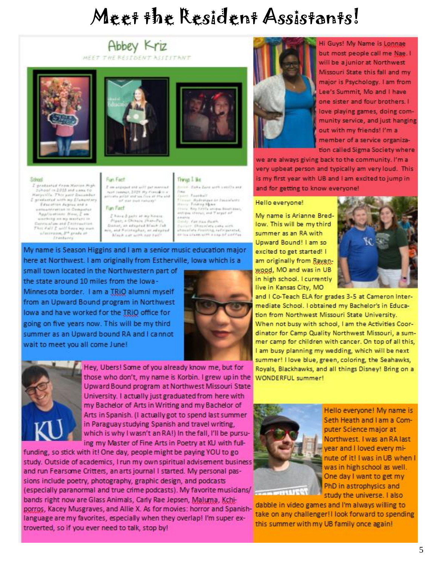## Meet the Resident Assistants!

### Abbey Kriz MEET THE RESIDENT ASSISTANT







#### School

I arnhaphad From Marion High School in 2018 and came to I greenered with my Elementary Education Augeus and a<br>Healthatton in Computer Applications News, Z am anceledge an my marriers in Dennis al am and Entreaution.<br>Thes Kalif E will have my must alaceram, pro grada at<br>Transara

### Fun Fact 2 aw animal and will per scental.

next (wange, 2029) My Presidio v.<br>private prize and us five at the end of mar duck Extends? Fun Fart

I have 8 pers at my house<br>Piper, a Ghinais Ihan-Pei, Doney, an adapted Brack Cab<br>acc, and Reconsplan, accelested Mech are with not tail?

### Things I like

on disks Zans and bestills and - Football Hydratgue on Equipolanta Folding Nickel

ira. Kay tioble aniqua disabisanti.<br>1904 throuil, and Targati ob early Fax Han Banth

cium Chapolete pene nich<br>auslata Conisting, belleigenered, ing crash with a car of carry

My name is Season Higgins and I am a senior music education major here at Northwest. I am originally from Estherville, lowa which is a

small town located in the Northwestern part of the state around 10 miles from the lowa-Minnes ota border. I am a TRIO alumni myself from an Upward Bound program in Northwest lowa and have worked for the TRIO office for going on five years now. This will be my third summer as an Upward bound RA and I cannot wait to meet you all come June!





Hey, Ubers! Some of you already know me, but for those who don't, my name is Korbin. I grew up in the Upward Bound program at Northwest Missouri State University. I actually just graduated from here with my Bachelor of Arts in Writing and my Bachelor of Arts in Spanish. (I actually got to spend last summer in Paraguay studying Spanish and travel writing, which is why I wasn't an RA!) In the fall, I'll be pursuing my Master of Fine Arts in Poetry at KU with full-

funding, so stick with it! One day, people might be paying YOU to go study. Outside of academics, I run my own spiritual advisement business and run Fearsome Critters, an arts journal I started. My personal passions include poetry, photography, graphic design, and podcasts (especially paranormal and true crime podcasts). My favorite musicians/ bands right now are Glass Animals, Carly Rae Jepsen, Maluma, Kchiporros, Kacey Musgraves, and Allie X. As for movies: horror and Spanishlanguage are my favorites, especially when they overlap! I'm super extroverted, so if you ever need to talk, stop by!



Hi Guys! My Name is Lonnae but most people call me Nae. I will be a junior at Northwest Missouri State this fall and my major is Psychology. I am from Lee's Summit, Mo and I have one sister and four brothers. I love playing games, doing community service, and just hanging out with my friends! I'm a member of a service organization called Sigma Society where

we are always giving back to the community. I'm a very upbeat person and typically am very loud. This is my first year with UB and I am excited to jump in and for getting to know everyone!

### Hello everyone!

My name is Arianne Bredlow. This will be my third summer as an RA with Upward Bound! I am so excited to get started! I am originally from Rayenwood, MO and was in UB in high school, I currently live in Kansas City, MO



and I Co-Teach ELA for grades 3-5 at Cameron Intermediate School, I obtained my Bachelor's in Education from Northwest Missouri State University. When not busy with school, I am the Activities Coordinator for Camp Quality Northwest Missouri, a summer camp for children with cancer. On top of all this, I am busy planning my wedding, which will be next summer! I love blue, green, coloring, the Seahawks, Royals, Blackhawks, and all things Disney! Bring on a **WONDERFUL summer!** 



Hello everyone! My name is Seth Heath and I am a Computer Science major at Northwest. I was an RA last year and I loved every minute of it! I was in UB when I was in high school as well. One day I want to get my PhD in astrophysics and study the universe. I also

dabble in video games and I'm always willing to take on any challenger! I look forward to spending this summer with my UB family once again!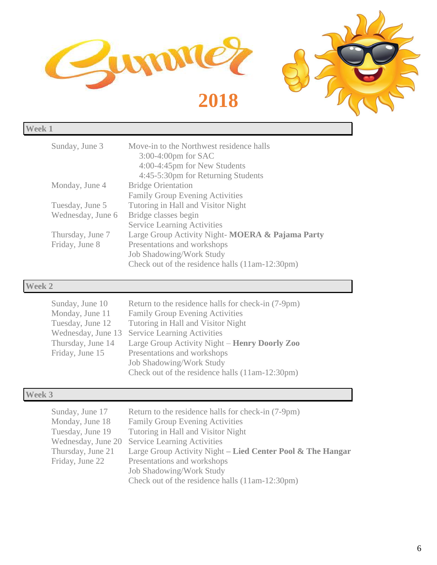

| Sunday, June 3    | Move-in to the Northwest residence halls<br>$3:00-4:00$ pm for SAC<br>4:00-4:45pm for New Students<br>4:45-5:30pm for Returning Students |
|-------------------|------------------------------------------------------------------------------------------------------------------------------------------|
| Monday, June 4    | <b>Bridge Orientation</b>                                                                                                                |
|                   | <b>Family Group Evening Activities</b>                                                                                                   |
| Tuesday, June 5   | Tutoring in Hall and Visitor Night                                                                                                       |
| Wednesday, June 6 | Bridge classes begin                                                                                                                     |
|                   | <b>Service Learning Activities</b>                                                                                                       |
| Thursday, June 7  | Large Group Activity Night-MOERA & Pajama Party                                                                                          |
| Friday, June 8    | Presentations and workshops                                                                                                              |
|                   | <b>Job Shadowing/Work Study</b>                                                                                                          |
|                   | Check out of the residence halls (11am-12:30pm)                                                                                          |
|                   |                                                                                                                                          |

## **Week 2**

| Sunday, June 10    | Return to the residence halls for check-in (7-9pm) |
|--------------------|----------------------------------------------------|
| Monday, June 11    | <b>Family Group Evening Activities</b>             |
| Tuesday, June 12   | Tutoring in Hall and Visitor Night                 |
| Wednesday, June 13 | <b>Service Learning Activities</b>                 |
| Thursday, June 14  | Large Group Activity Night – Henry Doorly Zoo      |
| Friday, June 15    | Presentations and workshops                        |
|                    | <b>Job Shadowing/Work Study</b>                    |
|                    | Check out of the residence halls (11am-12:30pm)    |

## **Week 3**

| Sunday, June 17    | Return to the residence halls for check-in (7-9pm)         |
|--------------------|------------------------------------------------------------|
| Monday, June 18    | <b>Family Group Evening Activities</b>                     |
| Tuesday, June 19   | Tutoring in Hall and Visitor Night                         |
| Wednesday, June 20 | <b>Service Learning Activities</b>                         |
| Thursday, June 21  | Large Group Activity Night – Lied Center Pool & The Hangar |
| Friday, June 22    | Presentations and workshops                                |
|                    | <b>Job Shadowing/Work Study</b>                            |
|                    | Check out of the residence halls (11am-12:30pm)            |
|                    |                                                            |